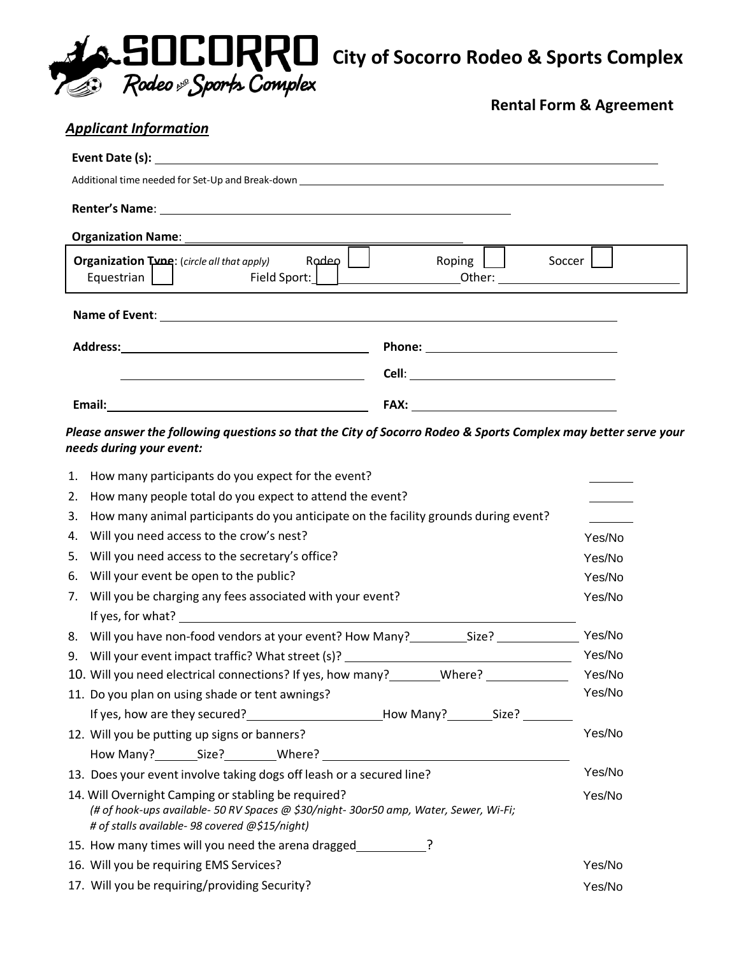

**Rental Form & Agreement**

|                                                                      | <b>Applicant Information</b>                                                                                                                                                                   |                        |                  |  |  |
|----------------------------------------------------------------------|------------------------------------------------------------------------------------------------------------------------------------------------------------------------------------------------|------------------------|------------------|--|--|
|                                                                      |                                                                                                                                                                                                |                        |                  |  |  |
|                                                                      | Additional time needed for Set-Up and Break-down                                                                                                                                               |                        |                  |  |  |
|                                                                      |                                                                                                                                                                                                |                        |                  |  |  |
|                                                                      |                                                                                                                                                                                                |                        |                  |  |  |
|                                                                      |                                                                                                                                                                                                |                        |                  |  |  |
|                                                                      | $R$ odeo $ $<br>Organization Tune: (circle all that apply)                                                                                                                                     | Roping $\lfloor$       | Soccer           |  |  |
|                                                                      |                                                                                                                                                                                                |                        |                  |  |  |
|                                                                      |                                                                                                                                                                                                |                        |                  |  |  |
|                                                                      |                                                                                                                                                                                                |                        |                  |  |  |
|                                                                      |                                                                                                                                                                                                |                        |                  |  |  |
|                                                                      |                                                                                                                                                                                                | FAX: <b>Example 20</b> |                  |  |  |
|                                                                      | Please answer the following questions so that the City of Socorro Rodeo & Sports Complex may better serve your<br>needs during your event:                                                     |                        |                  |  |  |
| 1.                                                                   | How many participants do you expect for the event?                                                                                                                                             |                        |                  |  |  |
| 2.                                                                   | How many people total do you expect to attend the event?                                                                                                                                       |                        |                  |  |  |
| 3.                                                                   | How many animal participants do you anticipate on the facility grounds during event?                                                                                                           |                        |                  |  |  |
| 4.                                                                   | Will you need access to the crow's nest?<br>Yes/No                                                                                                                                             |                        |                  |  |  |
| 5.                                                                   | Will you need access to the secretary's office?                                                                                                                                                |                        | Yes/No           |  |  |
| 6.                                                                   | Will your event be open to the public?                                                                                                                                                         |                        | Yes/No           |  |  |
| Will you be charging any fees associated with your event?<br>7.      |                                                                                                                                                                                                |                        | Yes/No           |  |  |
|                                                                      |                                                                                                                                                                                                |                        |                  |  |  |
|                                                                      | 8. Will you have non-food vendors at your event? How Many?______________________                                                                                                               |                        | Yes/No           |  |  |
|                                                                      | 9. Will your event impact traffic? What street (s)? ____________________________                                                                                                               |                        | Yes/No           |  |  |
|                                                                      | 10. Will you need electrical connections? If yes, how many? _______Where? ____________                                                                                                         |                        | Yes/No<br>Yes/No |  |  |
|                                                                      | 11. Do you plan on using shade or tent awnings?                                                                                                                                                |                        |                  |  |  |
|                                                                      | If yes, how are they secured?____________________________How Many?___________Size? __________                                                                                                  |                        | Yes/No           |  |  |
|                                                                      | 12. Will you be putting up signs or banners?                                                                                                                                                   |                        |                  |  |  |
|                                                                      |                                                                                                                                                                                                |                        | Yes/No           |  |  |
| 13. Does your event involve taking dogs off leash or a secured line? |                                                                                                                                                                                                |                        |                  |  |  |
|                                                                      | 14. Will Overnight Camping or stabling be required?<br>(# of hook-ups available- 50 RV Spaces @ \$30/night- 30or50 amp, Water, Sewer, Wi-Fi;<br># of stalls available- 98 covered @\$15/night) |                        | Yes/No           |  |  |
|                                                                      | 15. How many times will you need the arena dragged                                                                                                                                             |                        |                  |  |  |
|                                                                      | 16. Will you be requiring EMS Services?                                                                                                                                                        |                        | Yes/No           |  |  |
|                                                                      | 17. Will you be requiring/providing Security?                                                                                                                                                  |                        | Yes/No           |  |  |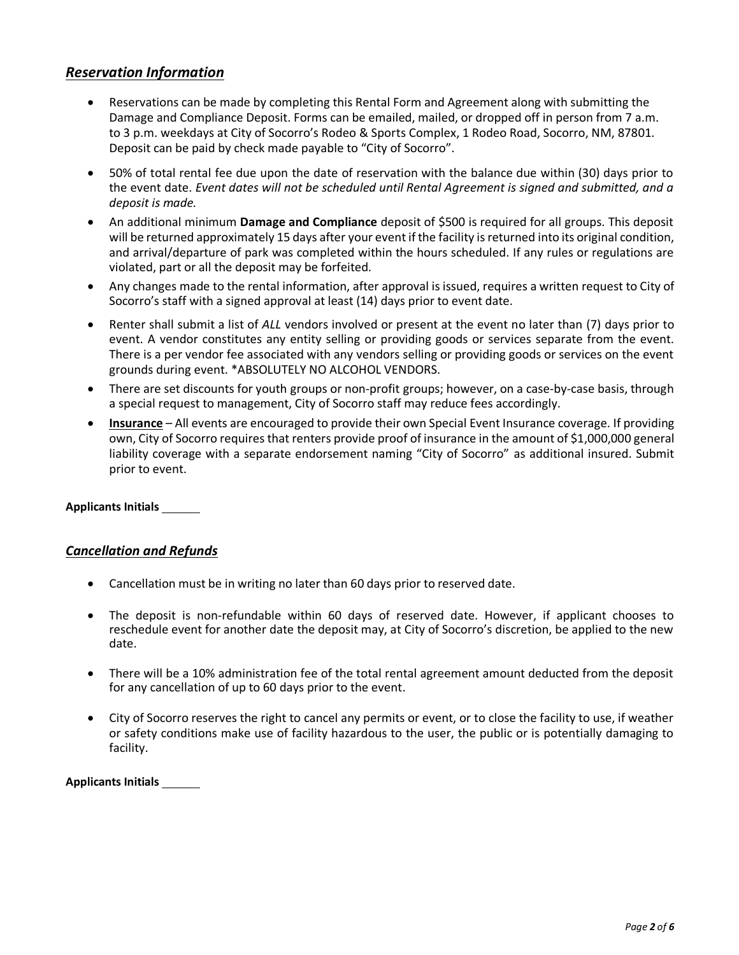# *Reservation Information*

- Reservations can be made by completing this Rental Form and Agreement along with submitting the Damage and Compliance Deposit. Forms can be emailed, mailed, or dropped off in person from 7 a.m. to 3 p.m. weekdays at City of Socorro's Rodeo & Sports Complex, 1 Rodeo Road, Socorro, NM, 87801. Deposit can be paid by check made payable to "City of Socorro".
- 50% of total rental fee due upon the date of reservation with the balance due within (30) days prior to the event date. *Event dates will not be scheduled until Rental Agreement is signed and submitted, and a deposit is made.*
- An additional minimum **Damage and Compliance** deposit of \$500 is required for all groups. This deposit will be returned approximately 15 days after your event if the facility is returned into its original condition, and arrival/departure of park was completed within the hours scheduled. If any rules or regulations are violated, part or all the deposit may be forfeited.
- Any changes made to the rental information, after approval is issued, requires a written request to City of Socorro's staff with a signed approval at least (14) days prior to event date.
- Renter shall submit a list of *ALL* vendors involved or present at the event no later than (7) days prior to event. A vendor constitutes any entity selling or providing goods or services separate from the event. There is a per vendor fee associated with any vendors selling or providing goods or services on the event grounds during event. \*ABSOLUTELY NO ALCOHOL VENDORS.
- There are set discounts for youth groups or non-profit groups; however, on a case-by-case basis, through a special request to management, City of Socorro staff may reduce fees accordingly.
- **Insurance** All events are encouraged to provide their own Special Event Insurance coverage. If providing own, City of Socorro requires that renters provide proof of insurance in the amount of \$1,000,000 general liability coverage with a separate endorsement naming "City of Socorro" as additional insured. Submit prior to event.

### **Applicants Initials**

### *Cancellation and Refunds*

- Cancellation must be in writing no later than 60 days prior to reserved date.
- The deposit is non-refundable within 60 days of reserved date. However, if applicant chooses to reschedule event for another date the deposit may, at City of Socorro's discretion, be applied to the new date.
- There will be a 10% administration fee of the total rental agreement amount deducted from the deposit for any cancellation of up to 60 days prior to the event.
- City of Socorro reserves the right to cancel any permits or event, or to close the facility to use, if weather or safety conditions make use of facility hazardous to the user, the public or is potentially damaging to facility.

**Applicants Initials**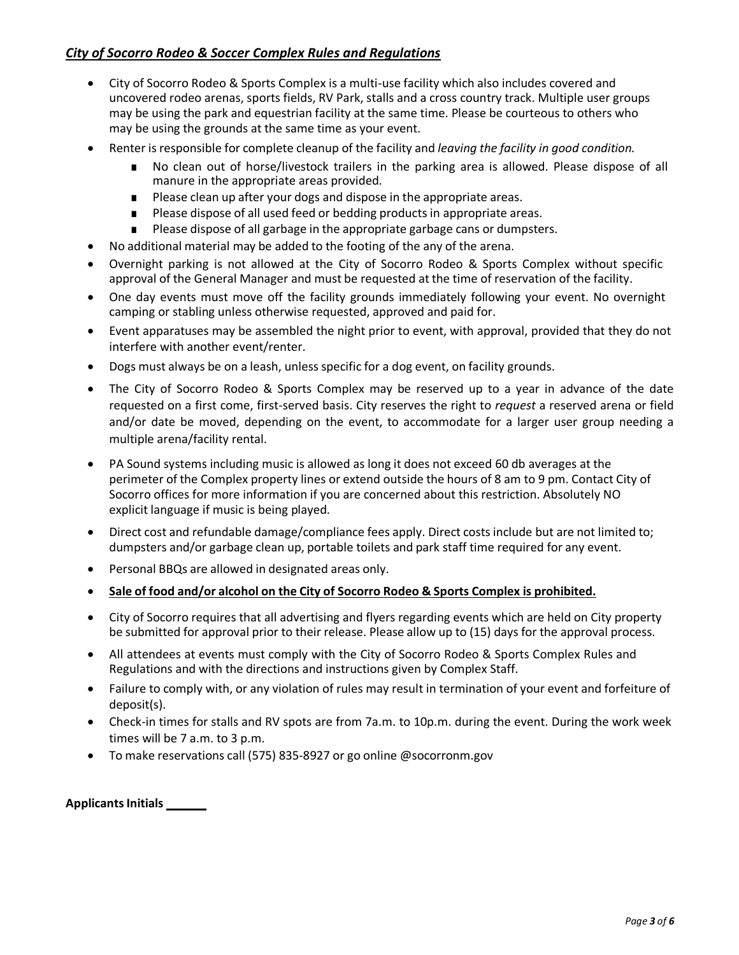# *City of Socorro Rodeo & Soccer Complex Rules and Regulations*

- City of Socorro Rodeo & Sports Complex is a multi-use facility which also includes covered and uncovered rodeo arenas, sports fields, RV Park, stalls and a cross country track. Multiple user groups may be using the park and equestrian facility at the same time. Please be courteous to others who may be using the grounds at the same time as your event.
- Renter is responsible for complete cleanup of the facility and *leaving the facility in good condition.*
	- No clean out of horse/livestock trailers in the parking area is allowed. Please dispose of all manure in the appropriate areas provided.
	- Please clean up after your dogs and dispose in the appropriate areas.
	- Please dispose of all used feed or bedding products in appropriate areas.
	- Please dispose of all garbage in the appropriate garbage cans or dumpsters.
- No additional material may be added to the footing of the any of the arena.
- Overnight parking is not allowed at the City of Socorro Rodeo & Sports Complex without specific approval of the General Manager and must be requested at the time of reservation of the facility.
- One day events must move off the facility grounds immediately following your event. No overnight camping or stabling unless otherwise requested, approved and paid for.
- Event apparatuses may be assembled the night prior to event, with approval, provided that they do not interfere with another event/renter.
- Dogs must always be on a leash, unless specific for a dog event, on facility grounds.
- The City of Socorro Rodeo & Sports Complex may be reserved up to a year in advance of the date requested on a first come, first-served basis. City reserves the right to *request* a reserved arena or field and/or date be moved, depending on the event, to accommodate for a larger user group needing a multiple arena/facility rental.
- PA Sound systems including music is allowed as long it does not exceed 60 db averages at the perimeter of the Complex property lines or extend outside the hours of 8 am to 9 pm. Contact City of Socorro offices for more information if you are concerned about this restriction. Absolutely NO explicit language if music is being played.
- Direct cost and refundable damage/compliance fees apply. Direct costs include but are not limited to; dumpsters and/or garbage clean up, portable toilets and park staff time required for any event.
- Personal BBQs are allowed in designated areas only.
- **Sale of food and/or alcohol on the City of Socorro Rodeo & Sports Complex is prohibited.**
- City of Socorro requires that all advertising and flyers regarding events which are held on City property be submitted for approval prior to their release. Please allow up to (15) days for the approval process.
- All attendees at events must comply with the City of Socorro Rodeo & Sports Complex Rules and Regulations and with the directions and instructions given by Complex Staff.
- Failure to comply with, or any violation of rules may result in termination of your event and forfeiture of deposit(s).
- Check-in times for stalls and RV spots are from 7a.m. to 10p.m. during the event. During the work week times will be 7 a.m. to 3 p.m.
- To make reservations call (575) 835-8927 or go online @socorronm.gov

**Applicants Initials**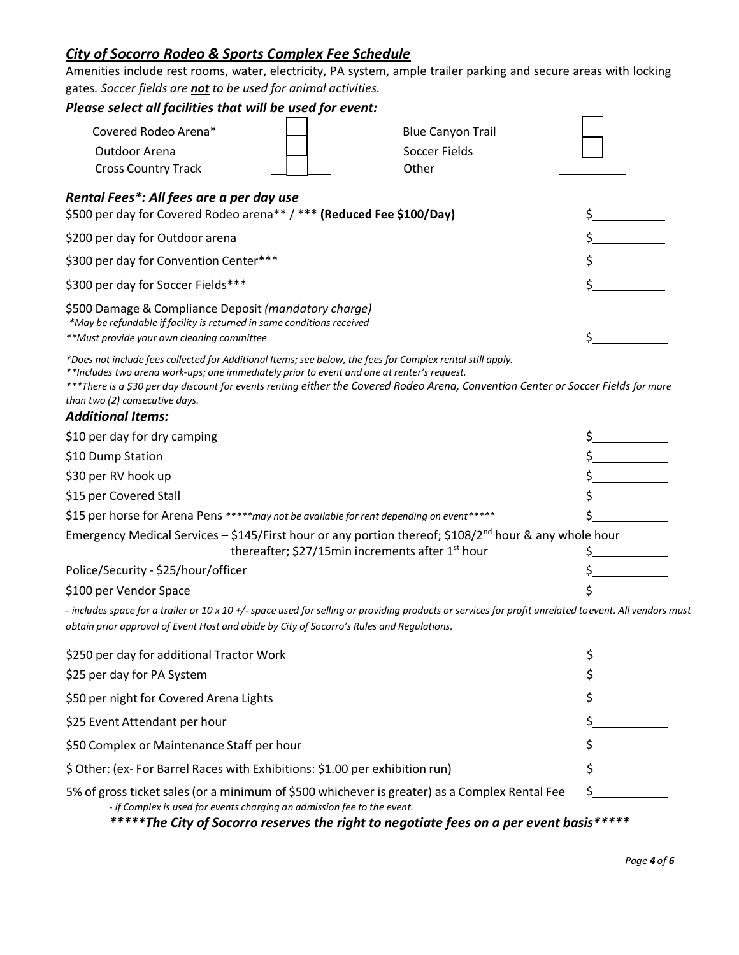# *City of Socorro Rodeo & Sports Complex Fee Schedule*

Amenities include rest rooms, water, electricity, PA system, ample trailer parking and secure areas with locking gates*. Soccer fields are not to be used for animal activities.*

| Please select all facilities that will be used for event:                                                                                                                                                                                                                                                                                                                                                    |                          |    |
|--------------------------------------------------------------------------------------------------------------------------------------------------------------------------------------------------------------------------------------------------------------------------------------------------------------------------------------------------------------------------------------------------------------|--------------------------|----|
| Covered Rodeo Arena*                                                                                                                                                                                                                                                                                                                                                                                         | <b>Blue Canyon Trail</b> |    |
| Outdoor Arena                                                                                                                                                                                                                                                                                                                                                                                                | Soccer Fields            |    |
| <b>Cross Country Track</b>                                                                                                                                                                                                                                                                                                                                                                                   | Other                    |    |
| Rental Fees*: All fees are a per day use<br>\$500 per day for Covered Rodeo arena** / *** (Reduced Fee \$100/Day)                                                                                                                                                                                                                                                                                            |                          |    |
| \$200 per day for Outdoor arena                                                                                                                                                                                                                                                                                                                                                                              |                          |    |
| \$300 per day for Convention Center***                                                                                                                                                                                                                                                                                                                                                                       |                          |    |
| \$300 per day for Soccer Fields***                                                                                                                                                                                                                                                                                                                                                                           |                          |    |
| \$500 Damage & Compliance Deposit (mandatory charge)<br>*May be refundable if facility is returned in same conditions received<br>**Must provide your own cleaning committee                                                                                                                                                                                                                                 |                          | \$ |
| *Does not include fees collected for Additional Items; see below, the fees for Complex rental still apply.<br>**Includes two arena work-ups; one immediately prior to event and one at renter's request.<br>***There is a \$30 per day discount for events renting either the Covered Rodeo Arena, Convention Center or Soccer Fields for more<br>than two (2) consecutive days.<br><b>Additional Items:</b> |                          |    |
| \$10 per day for dry camping                                                                                                                                                                                                                                                                                                                                                                                 |                          |    |
| \$10 Dump Station                                                                                                                                                                                                                                                                                                                                                                                            |                          |    |
| \$30 per RV hook up                                                                                                                                                                                                                                                                                                                                                                                          |                          |    |
| \$15 per Covered Stall                                                                                                                                                                                                                                                                                                                                                                                       |                          |    |
| \$15 per horse for Arena Pens ***** may not be available for rent depending on event*****                                                                                                                                                                                                                                                                                                                    |                          |    |
| Emergency Medical Services - \$145/First hour or any portion thereof; \$108/2 <sup>nd</sup> hour & any whole hour<br>thereafter; \$27/15min increments after 1 <sup>st</sup> hour                                                                                                                                                                                                                            |                          |    |
| Police/Security - \$25/hour/officer                                                                                                                                                                                                                                                                                                                                                                          |                          |    |
| \$100 per Vendor Space                                                                                                                                                                                                                                                                                                                                                                                       |                          |    |
| - includes space for a trailer or 10 x 10 +/- space used for selling or providing products or services for profit unrelated toevent. All vendors must<br>obtain prior approval of Event Host and abide by City of Socorro's Rules and Regulations.                                                                                                                                                           |                          |    |
| \$250 per day for additional Tractor Work                                                                                                                                                                                                                                                                                                                                                                    |                          |    |
| \$25 per day for PA System                                                                                                                                                                                                                                                                                                                                                                                   |                          |    |
| \$50 per night for Covered Arena Lights                                                                                                                                                                                                                                                                                                                                                                      |                          |    |
| \$25 Event Attendant per hour                                                                                                                                                                                                                                                                                                                                                                                |                          |    |
| \$50 Complex or Maintenance Staff per hour                                                                                                                                                                                                                                                                                                                                                                   |                          |    |
| \$ Other: (ex-For Barrel Races with Exhibitions: \$1.00 per exhibition run)                                                                                                                                                                                                                                                                                                                                  |                          |    |
| 5% of gross ticket sales (or a minimum of \$500 whichever is greater) as a Complex Rental Fee<br>- if Complex is used for events charging an admission fee to the event.<br>*****The City of Socorro reserves the right to negotiate fees on a per event basis*****                                                                                                                                          |                          |    |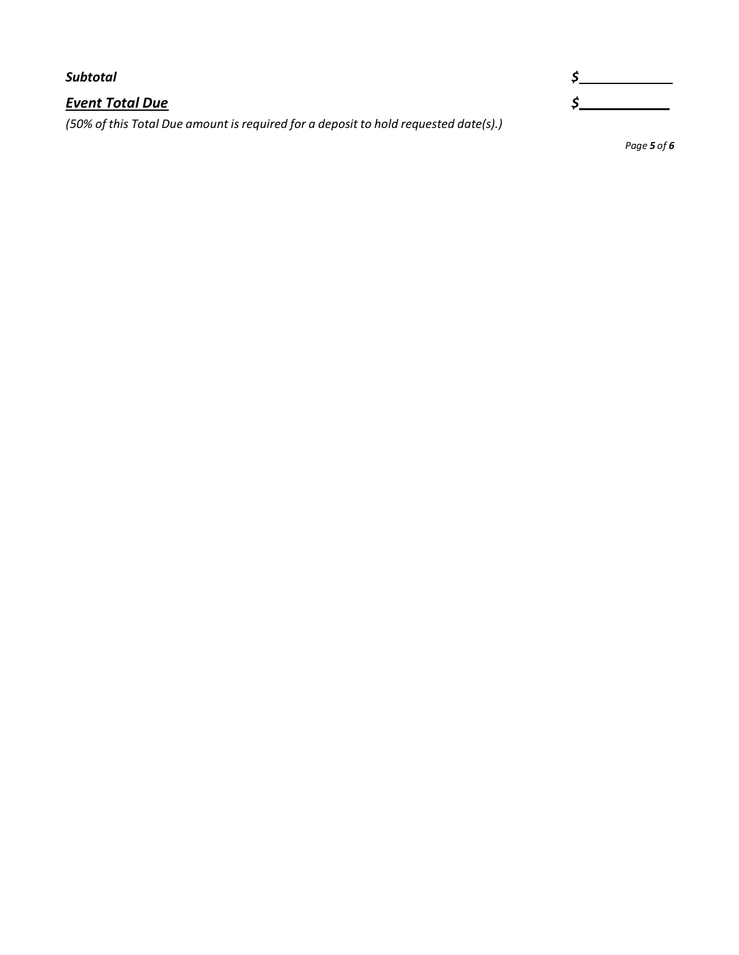| Subtotal                                                                            |  |
|-------------------------------------------------------------------------------------|--|
| <b>Event Total Due</b>                                                              |  |
| (50% of this Total Due amount is required for a deposit to hold requested date(s).) |  |

*Page 5 of 6*